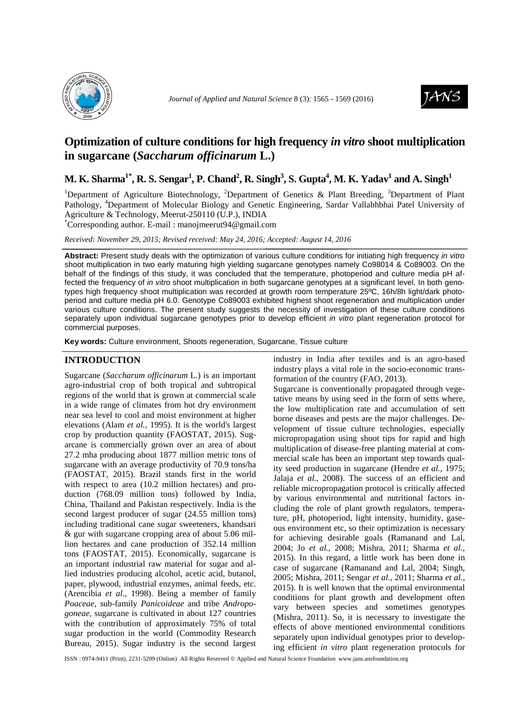



# **Optimization of culture conditions for high frequency** *in vitro* **shoot multiplication in sugarcane (***Saccharum officinarum* **L.)**

**M. K. Sharma1\*, R. S. Sengar<sup>1</sup> , P. Chand<sup>2</sup> , R. Singh<sup>3</sup> , S. Gupta<sup>4</sup> , M. K. Yadav<sup>1</sup> and A. Singh<sup>1</sup>**

<sup>1</sup>Department of Agriculture Biotechnology, <sup>2</sup>Department of Genetics & Plant Breeding, <sup>3</sup>Department of Plant Pathology, <sup>4</sup>Department of Molecular Biology and Genetic Engineering, Sardar Vallabhbhai Patel University of Agriculture & Technology, Meerut-250110 (U.P.), INDIA

\*Corresponding author. E-mail : manojmeerut94@gmail.com

*Received: November 29, 2015; Revised received: May 24, 2016; Accepted: August 14, 2016*

Abstract: Present study deals with the optimization of various culture conditions for initiating high frequency in vitro shoot multiplication in two early maturing high yielding sugarcane genotypes namely Co98014 & Co89003. On the behalf of the findings of this study, it was concluded that the temperature, photoperiod and culture media pH affected the frequency of in vitro shoot multiplication in both sugarcane genotypes at a significant level. In both genotypes high frequency shoot multiplication was recorded at growth room temperature 25ºC, 16h/8h light/dark photoperiod and culture media pH 6.0. Genotype Co89003 exhibited highest shoot regeneration and multiplication under various culture conditions. The present study suggests the necessity of investigation of these culture conditions separately upon individual sugarcane genotypes prior to develop efficient in vitro plant regeneration protocol for commercial purposes.

**Key words:** Culture environment, Shoots regeneration, Sugarcane, Tissue culture

# **INTRODUCTION**

Sugarcane (*Saccharum officinarum* L.) is an important agro-industrial crop of both tropical and subtropical regions of the world that is grown at commercial scale in a wide range of climates from hot dry environment near sea level to cool and moist environment at higher elevations (Alam *et al.,* 1995). It is the world's largest crop by production quantity (FAOSTAT, 2015). Sugarcane is commercially grown over an area of about 27.2 mha producing about 1877 million metric tons of sugarcane with an average productivity of 70.9 tons/ha (FAOSTAT, 2015). Brazil stands first in the world with respect to area (10.2 million hectares) and production (768.09 million tons) followed by India, China, Thailand and Pakistan respectively. India is the second largest producer of sugar (24.55 million tons) including traditional cane sugar sweeteners, khandsari & gur with sugarcane cropping area of about 5.06 million hectares and cane production of 352.14 million tons (FAOSTAT, 2015). Economically, sugarcane is an important industrial raw material for sugar and allied industries producing alcohol, acetic acid, butanol, paper, plywood, industrial enzymes, animal feeds, etc. (Arencibia *et al.,* 1998). Being a member of family *Poaceae*, sub-family *Panicoideae* and tribe *Andropogoneae,* sugarcane is cultivated in about 127 countries with the contribution of approximately 75% of total sugar production in the world (Commodity Research Bureau, 2015). Sugar industry is the second largest industry in India after textiles and is an agro-based industry plays a vital role in the socio-economic transformation of the country (FAO, 2013).

Sugarcane is conventionally propagated through vegetative means by using seed in the form of setts where, the low multiplication rate and accumulation of sett borne diseases and pests are the major challenges. Development of tissue culture technologies, especially micropropagation using shoot tips for rapid and high multiplication of disease-free planting material at commercial scale has been an important step towards quality seed production in sugarcane (Hendre *et al.,* 1975; Jalaja *et al.,* 2008). The success of an efficient and reliable micropropagation protocol is critically affected by various environmental and nutritional factors including the role of plant growth regulators, temperature, pH, photoperiod, light intensity, humidity, gaseous environment etc, so their optimization is necessary for achieving desirable goals (Ramanand and Lal, 2004; Jo *et al.,* 2008; Mishra, 2011; Sharma *et al.,* 2015). In this regard, a little work has been done in case of sugarcane (Ramanand and Lal, 2004; Singh, 2005; Mishra, 2011; Sengar *et al.,* 2011; Sharma *et al.,* 2015). It is well known that the optimal environmental conditions for plant growth and development often vary between species and sometimes genotypes (Mishra, 2011). So, it is necessary to investigate the effects of above mentioned environmental conditions separately upon individual genotypes prior to developing efficient *in vitro* plant regeneration protocols for

ISSN : 0974-9411 (Print), 2231-5209 (Online) All Rights Reserved © Applied and Natural Science Foundation www.jans.ansfoundation.org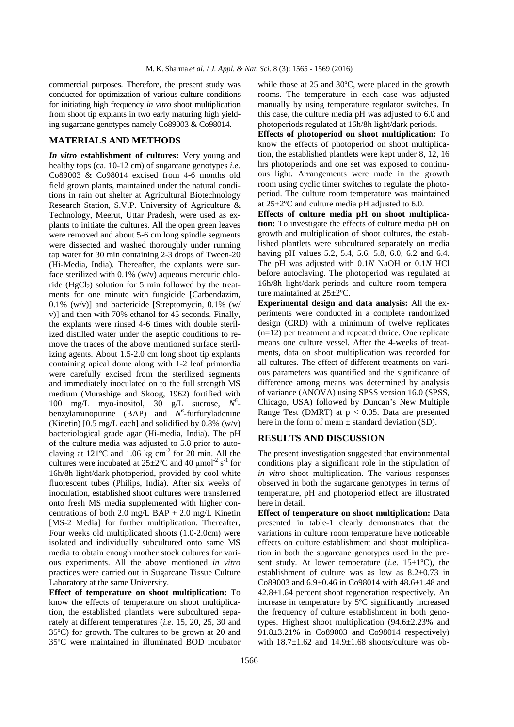commercial purposes. Therefore, the present study was conducted for optimization of various culture conditions for initiating high frequency *in vitro* shoot multiplication from shoot tip explants in two early maturing high yielding sugarcane genotypes namely Co89003 & Co98014.

# **MATERIALS AND METHODS**

*In vitro* **establishment of cultures:** Very young and healthy tops (ca. 10-12 cm) of sugarcane genotypes *i.e.*  Co89003 & Co98014 excised from 4-6 months old field grown plants, maintained under the natural conditions in rain out shelter at Agricultural Biotechnology Research Station, S.V.P. University of Agriculture & Technology, Meerut, Uttar Pradesh, were used as explants to initiate the cultures. All the open green leaves were removed and about 5-6 cm long spindle segments were dissected and washed thoroughly under running tap water for 30 min containing 2-3 drops of Tween-20 (Hi-Media, India). Thereafter, the explants were surface sterilized with  $0.1\%$  (w/v) aqueous mercuric chloride ( $HgCl<sub>2</sub>$ ) solution for 5 min followed by the treatments for one minute with fungicide [Carbendazim, 0.1% (w/v)] and bactericide [Streptomycin, 0.1% (w/ v)] and then with 70% ethanol for 45 seconds. Finally, the explants were rinsed 4-6 times with double sterilized distilled water under the aseptic conditions to remove the traces of the above mentioned surface sterilizing agents. About 1.5-2.0 cm long shoot tip explants containing apical dome along with 1-2 leaf primordia were carefully excised from the sterilized segments and immediately inoculated on to the full strength MS medium (Murashige and Skoog, 1962) fortified with 100 mg/L myo-inositol, 30 g/L sucrose, *N 6* benzylaminopurine  $(BAP)$  and  $N^6$ -furfuryladenine (Kinetin)  $[0.5 \text{ mg/L} \text{ each}]$  and solidified by 0.8% (w/v) bacteriological grade agar (Hi-media, India). The pH of the culture media was adjusted to 5.8 prior to autoclaving at  $121^{\circ}$ C and  $1.06$  kg cm<sup>-2</sup> for 20 min. All the cultures were incubated at  $25 \pm 2$ °C and 40 µmol<sup>-2</sup> s<sup>-1</sup> for 16h/8h light/dark photoperiod, provided by cool white fluorescent tubes (Philips, India). After six weeks of inoculation, established shoot cultures were transferred onto fresh MS media supplemented with higher concentrations of both 2.0 mg/L BAP + 2.0 mg/L Kinetin [MS-2 Media] for further multiplication. Thereafter, Four weeks old multiplicated shoots (1.0-2.0cm) were isolated and individually subcultured onto same MS media to obtain enough mother stock cultures for various experiments. All the above mentioned *in vitro*  practices were carried out in Sugarcane Tissue Culture Laboratory at the same University.

**Effect of temperature on shoot multiplication:** To know the effects of temperature on shoot multiplication, the established plantlets were subcultured separately at different temperatures (*i.e.* 15, 20, 25, 30 and 35ºC) for growth. The cultures to be grown at 20 and 35ºC were maintained in illuminated BOD incubator while those at 25 and 30ºC, were placed in the growth rooms. The temperature in each case was adjusted manually by using temperature regulator switches. In this case, the culture media pH was adjusted to 6.0 and photoperiods regulated at 16h/8h light/dark periods.

**Effects of photoperiod on shoot multiplication:** To know the effects of photoperiod on shoot multiplication, the established plantlets were kept under 8, 12, 16 hrs photoperiods and one set was exposed to continuous light. Arrangements were made in the growth room using cyclic timer switches to regulate the photoperiod. The culture room temperature was maintained at 25±2ºC and culture media pH adjusted to 6.0.

**Effects of culture media pH on shoot multiplication:** To investigate the effects of culture media pH on growth and multiplication of shoot cultures, the established plantlets were subcultured separately on media having pH values 5.2, 5.4, 5.6, 5.8, 6.0, 6.2 and 6.4. The pH was adjusted with 0.1*N* NaOH or 0.1*N* HCl before autoclaving. The photoperiod was regulated at 16h/8h light/dark periods and culture room temperature maintained at 25±2ºC.

**Experimental design and data analysis:** All the experiments were conducted in a complete randomized design (CRD) with a minimum of twelve replicates (n=12) per treatment and repeated thrice. One replicate means one culture vessel. After the 4-weeks of treatments, data on shoot multiplication was recorded for all cultures. The effect of different treatments on various parameters was quantified and the significance of difference among means was determined by analysis of variance (ANOVA) using SPSS version 16.0 (SPSS, Chicago, USA) followed by Duncan's New Multiple Range Test (DMRT) at  $p < 0.05$ . Data are presented here in the form of mean  $\pm$  standard deviation (SD).

### **RESULTS AND DISCUSSION**

The present investigation suggested that environmental conditions play a significant role in the stipulation of *in vitro* shoot multiplication. The various responses observed in both the sugarcane genotypes in terms of temperature, pH and photoperiod effect are illustrated here in detail.

**Effect of temperature on shoot multiplication:** Data presented in table-1 clearly demonstrates that the variations in culture room temperature have noticeable effects on culture establishment and shoot multiplication in both the sugarcane genotypes used in the present study. At lower temperature  $(i.e. 15 \pm 1^{\circ}C)$ , the establishment of culture was as low as 8.2±0.73 in Co89003 and 6.9±0.46 in Co98014 with 48.6±1.48 and 42.8±1.64 percent shoot regeneration respectively. An increase in temperature by 5ºC significantly increased the frequency of culture establishment in both genotypes. Highest shoot multiplication (94.6±2.23% and 91.8±3.21% in Co89003 and Co98014 respectively) with  $18.7\pm1.62$  and  $14.9\pm1.68$  shoots/culture was ob-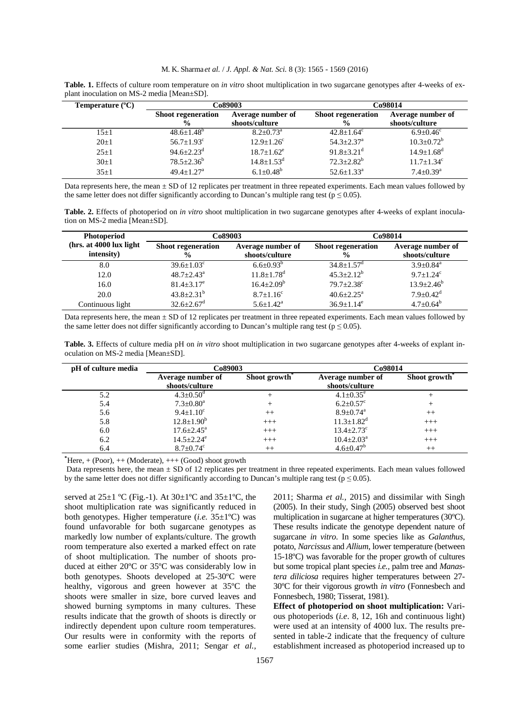|  | M. K. Sharma et al. / J. Appl. & Nat. Sci. 8 (3): 1565 - 1569 (2016) |  |  |  |  |
|--|----------------------------------------------------------------------|--|--|--|--|
|  |                                                                      |  |  |  |  |

| Temperature $(^{\circ}C)$ | Co89003                                    |                                     | Co98014                                    |                                     |  |
|---------------------------|--------------------------------------------|-------------------------------------|--------------------------------------------|-------------------------------------|--|
|                           | <b>Shoot regeneration</b><br>$\frac{6}{9}$ | Average number of<br>shoots/culture | <b>Shoot regeneration</b><br>$\frac{0}{0}$ | Average number of<br>shoots/culture |  |
| $15 + 1$                  | $48.6 + 1.48$ <sup>b</sup>                 | $8.2 + 0.73^a$                      | $42.8 + 1.64^c$                            | $6.9 + 0.46^c$                      |  |
| $20+1$                    | $56.7 + 1.93^c$                            | $12.9 + 1.26^c$                     | $54.3 + 2.37$ <sup>a</sup>                 | $10.3 \pm 0.72^b$                   |  |
| $25 \pm 1$                | $94.6 + 2.23^d$                            | $18.7 + 1.62^e$                     | $91.8 \pm 3.21$ <sup>d</sup>               | $14.9 \pm 1.68$ <sup>d</sup>        |  |
| $30+1$                    | $78.5 \pm 2.36^b$                          | $14.8 \pm 1.53$ <sup>d</sup>        | $72.3 \pm 2.82^b$                          | $11.7 \pm 1.34$ <sup>c</sup>        |  |
| $35+1$                    | $49.4+1.27^a$                              | $6.1 + 0.48^b$                      | $52.6 + 1.33^a$                            | $7.4 \pm 0.39$ <sup>a</sup>         |  |

**Table. 1.** Effects of culture room temperature on *in vitro* shoot multiplication in two sugarcane genotypes after 4-weeks of explant inoculation on MS-2 media [Mean±SD].

Data represents here, the mean  $\pm$  SD of 12 replicates per treatment in three repeated experiments. Each mean values followed by the same letter does not differ significantly according to Duncan's multiple rang test ( $p \le 0.05$ ).

**Table. 2.** Effects of photoperiod on *in vitro* shoot multiplication in two sugarcane genotypes after 4-weeks of explant inoculation on MS-2 media [Mean±SD].

| <b>Photoperiod</b>                     | Co89003                                    |                                     | Co98014                    |                                     |  |
|----------------------------------------|--------------------------------------------|-------------------------------------|----------------------------|-------------------------------------|--|
| (hrs. at 4000 lux light)<br>intensity) | <b>Shoot regeneration</b><br>$\frac{6}{9}$ | Average number of<br>shoots/culture |                            | Average number of<br>shoots/culture |  |
| 8.0                                    | $39.6 \pm 1.03$ <sup>c</sup>               | $6.6 + 0.93^{b}$                    | $34.8 + 1.57$ <sup>d</sup> | $3.9 + 0.84$ <sup>a</sup>           |  |
| 12.0                                   | $48.7 + 2.43^{\circ}$                      | $11.8 \pm 1.78$ <sup>d</sup>        | $45.3 + 2.12^b$            | $9.7 + 1.24$ <sup>c</sup>           |  |
| 16.0                                   | $81.4 + 3.17^e$                            | $16.4 \pm 2.09^b$                   | $79.7 + 2.38$ °            | $13.9 \pm 2.46^b$                   |  |
| 20.0                                   | $43.8 \pm 2.31^b$                          | $8.7 \pm 1.16$ <sup>c</sup>         | $40.6 + 2.25^{\circ}$      | $7.9 \pm 0.42$ <sup>d</sup>         |  |
| Continuous light                       | $32.6 \pm 2.67$ <sup>d</sup>               | $5.6 \pm 1.42^{\text{a}}$           | $36.9 \pm 1.14^e$          | $4.7 \pm 0.64^b$                    |  |

Data represents here, the mean  $\pm$  SD of 12 replicates per treatment in three repeated experiments. Each mean values followed by the same letter does not differ significantly according to Duncan's multiple rang test ( $p \le 0.05$ ).

| Table. 3. Effects of culture media pH on in vitro shoot multiplication in two sugarcane genotypes after 4-weeks of explant in- |  |  |
|--------------------------------------------------------------------------------------------------------------------------------|--|--|
| oculation on MS-2 media [Mean±SD].                                                                                             |  |  |

| pH of culture media | Co89003                     |                           | Co98014                      |                           |
|---------------------|-----------------------------|---------------------------|------------------------------|---------------------------|
|                     | Average number of           | Shoot growth <sup>®</sup> | Average number of            | Shoot growth <sup>*</sup> |
|                     | shoots/culture              |                           | shoots/culture               |                           |
| 5.2                 | $4.3 \pm 0.50^{\circ}$      |                           | $4.1 \pm 0.35^e$             |                           |
| 5.4                 | $7.3 \pm 0.80^a$            |                           | $6.2 \pm 0.57$ <sup>c</sup>  |                           |
| 5.6                 | $9.4 + 1.10^c$              | $^{++}$                   | $8.9 + 0.74$ <sup>a</sup>    | $^{++}$                   |
| 5.8                 | $12.8 \pm 1.90^b$           | $+++$                     | $11.3 \pm 1.82$ <sup>d</sup> | $+++$                     |
| 6.0                 | $17.6 \pm 2.45^{\text{a}}$  | $+++$                     | $13.4 \pm 2.73$ <sup>c</sup> | $+++$                     |
| 6.2                 | $14.5 \pm 2.24^e$           | $+++$                     | $10.4 \pm 2.03^{\text{a}}$   | $+++$                     |
| 6.4                 | $8.7 \pm 0.74$ <sup>c</sup> | $^{++}$                   | $4.6 \pm 0.47$ <sup>b</sup>  | $^{++}$                   |

 $*$ Here,  $+$  (Poor),  $++$  (Moderate),  $++$  (Good) shoot growth

Data represents here, the mean  $\pm$  SD of 12 replicates per treatment in three repeated experiments. Each mean values followed by the same letter does not differ significantly according to Duncan's multiple rang test ( $p \le 0.05$ ).

served at  $25\pm1$  °C (Fig.-1). At  $30\pm1$ °C and  $35\pm1$ °C, the shoot multiplication rate was significantly reduced in both genotypes. Higher temperature (*i.e.* 35±1ºC) was found unfavorable for both sugarcane genotypes as markedly low number of explants/culture. The growth room temperature also exerted a marked effect on rate of shoot multiplication. The number of shoots produced at either 20ºC or 35ºC was considerably low in both genotypes. Shoots developed at 25-30ºC were healthy, vigorous and green however at 35ºC the shoots were smaller in size, bore curved leaves and showed burning symptoms in many cultures. These results indicate that the growth of shoots is directly or indirectly dependent upon culture room temperatures. Our results were in conformity with the reports of some earlier studies (Mishra, 2011; Sengar *et al.,* 

2011; Sharma *et al.,* 2015) and dissimilar with Singh (2005). In their study, Singh (2005) observed best shoot multiplication in sugarcane at higher temperatures (30ºC). These results indicate the genotype dependent nature of sugarcane *in vitro*. In some species like as *Galanthus*, potato, *Narcissus* and *Allium*, lower temperature (between 15-18ºC) was favorable for the proper growth of cultures but some tropical plant species *i.e.,* palm tree and *Manastera diliciosa* requires higher temperatures between 27- 30ºC for their vigorous growth *in vitro* (Fonnesbech and Fonnesbech, 1980; Tisserat, 1981).

**Effect of photoperiod on shoot multiplication:** Various photoperiods (*i.e*. 8, 12, 16h and continuous light) were used at an intensity of 4000 lux. The results presented in table-2 indicate that the frequency of culture establishment increased as photoperiod increased up to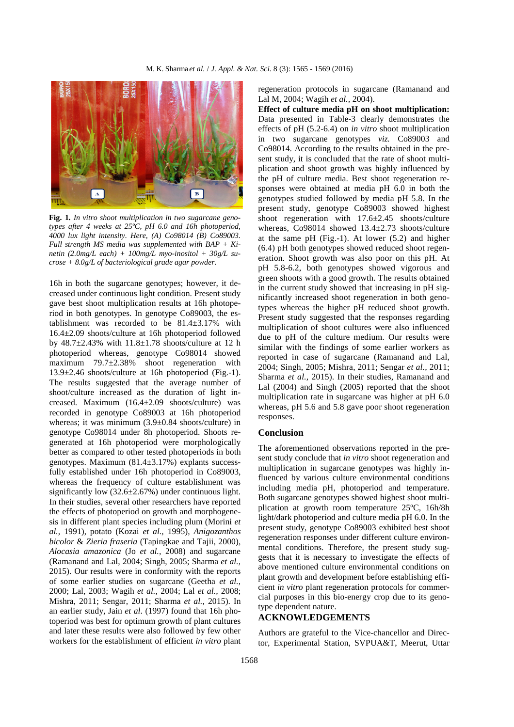

**Fig. 1***. In vitro shoot multiplication in two sugarcane genotypes after 4 weeks at 25ºC, pH 6.0 and 16h photoperiod, 4000 lux light intensity. Here, (A) Co98014 (B) Co89003. Full strength MS media was supplemented with BAP + Kinetin (2.0mg/L each) + 100mg/L myo-inositol + 30g/L sucrose + 8.0g/L of bacteriological grade agar powder.*

16h in both the sugarcane genotypes; however, it decreased under continuous light condition. Present study gave best shoot multiplication results at 16h photoperiod in both genotypes. In genotype Co89003, the establishment was recorded to be 81.4±3.17% with 16.4±2.09 shoots/culture at 16h photoperiod followed by  $48.7\pm2.43\%$  with  $11.8\pm1.78$  shoots/culture at 12 h photoperiod whereas, genotype Co98014 showed maximum 79.7±2.38% shoot regeneration with 13.9±2.46 shoots/culture at 16h photoperiod (Fig.-1). The results suggested that the average number of shoot/culture increased as the duration of light increased. Maximum (16.4±2.09 shoots/culture) was recorded in genotype Co89003 at 16h photoperiod whereas; it was minimum (3.9±0.84 shoots/culture) in genotype Co98014 under 8h photoperiod. Shoots regenerated at 16h photoperiod were morphologically better as compared to other tested photoperiods in both genotypes. Maximum (81.4±3.17%) explants successfully established under 16h photoperiod in Co89003, whereas the frequency of culture establishment was significantly low  $(32.6\pm 2.67\%)$  under continuous light. In their studies, several other researchers have reported the effects of photoperiod on growth and morphogenesis in different plant species including plum (Morini *et al.,* 1991), potato (Kozai *et al.,* 1995), *Anigozanthos bicolor* & *Zieria fraseria* (Tapingkae and Tajii, 2000), *Alocasia amazonica* (Jo *et al.,* 2008) and sugarcane (Ramanand and Lal, 2004; Singh, 2005; Sharma *et al.,* 2015). Our results were in conformity with the reports of some earlier studies on sugarcane (Geetha *et al.,* 2000; Lal, 2003; Wagih *et al.,* 2004; Lal *et al.,* 2008; Mishra, 2011; Sengar, 2011; Sharma *et al.,* 2015). In an earlier study, Jain *et al*. (1997) found that 16h photoperiod was best for optimum growth of plant cultures and later these results were also followed by few other workers for the establishment of efficient *in vitro* plant

regeneration protocols in sugarcane (Ramanand and Lal M, 2004; Wagih *et al.,* 2004).

**Effect of culture media pH on shoot multiplication:** Data presented in Table-3 clearly demonstrates the effects of pH (5.2-6.4) on *in vitro* shoot multiplication in two sugarcane genotypes *viz.* Co89003 and Co98014. According to the results obtained in the present study, it is concluded that the rate of shoot multiplication and shoot growth was highly influenced by the pH of culture media. Best shoot regeneration responses were obtained at media pH 6.0 in both the genotypes studied followed by media pH 5.8. In the present study, genotype Co89003 showed highest shoot regeneration with 17.6±2.45 shoots/culture whereas, Co98014 showed 13.4±2.73 shoots/culture at the same pH (Fig.-1). At lower (5.2) and higher (6.4) pH both genotypes showed reduced shoot regeneration. Shoot growth was also poor on this pH. At pH 5.8-6.2, both genotypes showed vigorous and green shoots with a good growth. The results obtained in the current study showed that increasing in pH significantly increased shoot regeneration in both genotypes whereas the higher pH reduced shoot growth. Present study suggested that the responses regarding multiplication of shoot cultures were also influenced due to pH of the culture medium. Our results were similar with the findings of some earlier workers as reported in case of sugarcane (Ramanand and Lal, 2004; Singh, 2005; Mishra, 2011; Sengar *et al.,* 2011; Sharma *et al.,* 2015). In their studies, Ramanand and Lal (2004) and Singh (2005) reported that the shoot multiplication rate in sugarcane was higher at pH 6.0 whereas, pH 5.6 and 5.8 gave poor shoot regeneration responses.

#### **Conclusion**

The aforementioned observations reported in the present study conclude that *in vitro* shoot regeneration and multiplication in sugarcane genotypes was highly influenced by various culture environmental conditions including media pH, photoperiod and temperature. Both sugarcane genotypes showed highest shoot multiplication at growth room temperature 25ºC, 16h/8h light/dark photoperiod and culture media pH 6.0. In the present study, genotype Co89003 exhibited best shoot regeneration responses under different culture environmental conditions. Therefore, the present study suggests that it is necessary to investigate the effects of above mentioned culture environmental conditions on plant growth and development before establishing efficient *in vitro* plant regeneration protocols for commercial purposes in this bio-energy crop due to its genotype dependent nature.

#### **ACKNOWLEDGEMENTS**

Authors are grateful to the Vice-chancellor and Director, Experimental Station, SVPUA&T, Meerut, Uttar